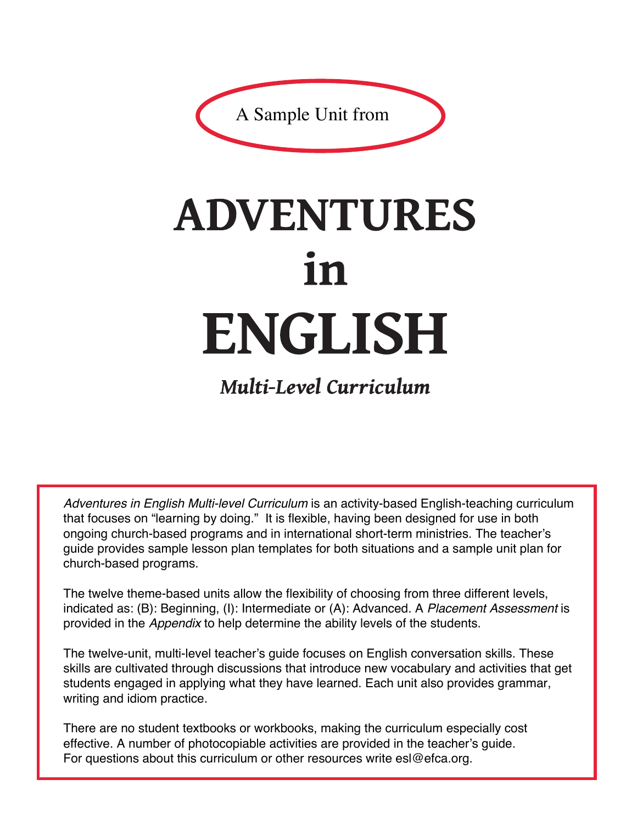

# **ADVENTURES** 1n **ENGLISH**

**Multi-Level Curriculum** 

*Adventures in English Multi-level Curriculum* is an activity-based English-teaching curriculum that focuses on "learning by doing." It is flexible, having been designed for use in both ongoing church-based programs and in international short-term ministries. The teacher's guide provides sample lesson plan templates for both situations and a sample unit plan for church-based programs.

The twelve theme-based units allow the flexibility of choosing from three different levels, indicated as: (B): Beginning, (I): Intermediate or (A): Advanced. A *Placement Assessment* is provided in the *Appendix* to help determine the ability levels of the students.

The twelve-unit, multi-level teacher's guide focuses on English conversation skills. These skills are cultivated through discussions that introduce new vocabulary and activities that get students engaged in applying what they have learned. Each unit also provides grammar, writing and idiom practice.

There are no student textbooks or workbooks, making the curriculum especially cost effective. A number of photocopiable activities are provided in the teacher's guide. For questions about this curriculum or other resources write esl@efca.org.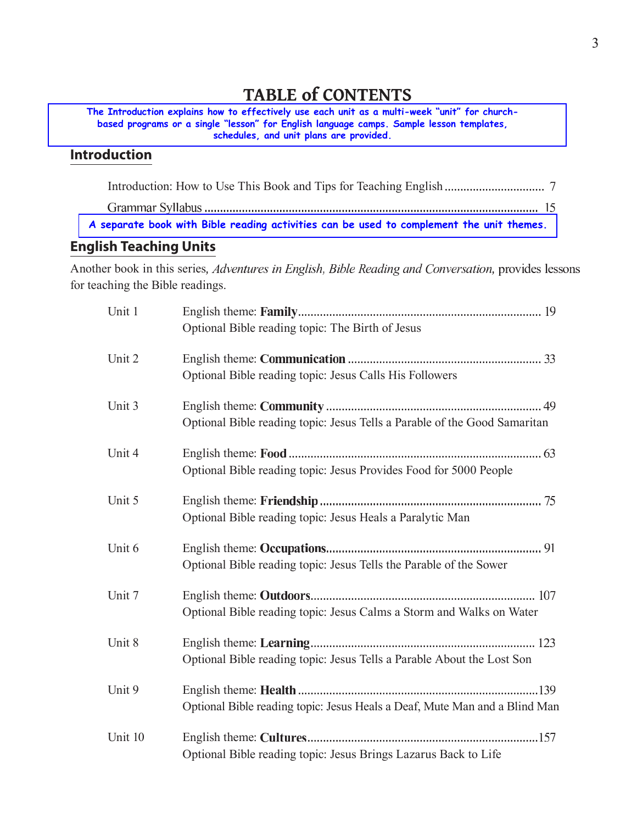# **TABLE of CONTENTS**

The Introduction explains how to effectively use each unit as a multi-week "unit" for churchbased programs or a single "lesson" for English language camps. Sample lesson templates, schedules, and unit plans are provided.

## **Introduction**

A separate book with Bible reading activities can be used to complement the unit themes.

#### **English Teaching Units**

Another book in this series, Adventures in English, Bible Reading and Conversation, provides lessons for teaching the Bible readings.

| Unit 1  |                                                                            |
|---------|----------------------------------------------------------------------------|
|         | Optional Bible reading topic: The Birth of Jesus                           |
| Unit 2  |                                                                            |
|         | Optional Bible reading topic: Jesus Calls His Followers                    |
| Unit 3  |                                                                            |
|         | Optional Bible reading topic: Jesus Tells a Parable of the Good Samaritan  |
| Unit 4  |                                                                            |
|         | Optional Bible reading topic: Jesus Provides Food for 5000 People          |
| Unit 5  |                                                                            |
|         | Optional Bible reading topic: Jesus Heals a Paralytic Man                  |
| Unit 6  |                                                                            |
|         | Optional Bible reading topic: Jesus Tells the Parable of the Sower         |
| Unit 7  |                                                                            |
|         | Optional Bible reading topic: Jesus Calms a Storm and Walks on Water       |
| Unit 8  |                                                                            |
|         | Optional Bible reading topic: Jesus Tells a Parable About the Lost Son     |
| Unit 9  |                                                                            |
|         | Optional Bible reading topic: Jesus Heals a Deaf, Mute Man and a Blind Man |
| Unit 10 |                                                                            |
|         | Optional Bible reading topic: Jesus Brings Lazarus Back to Life            |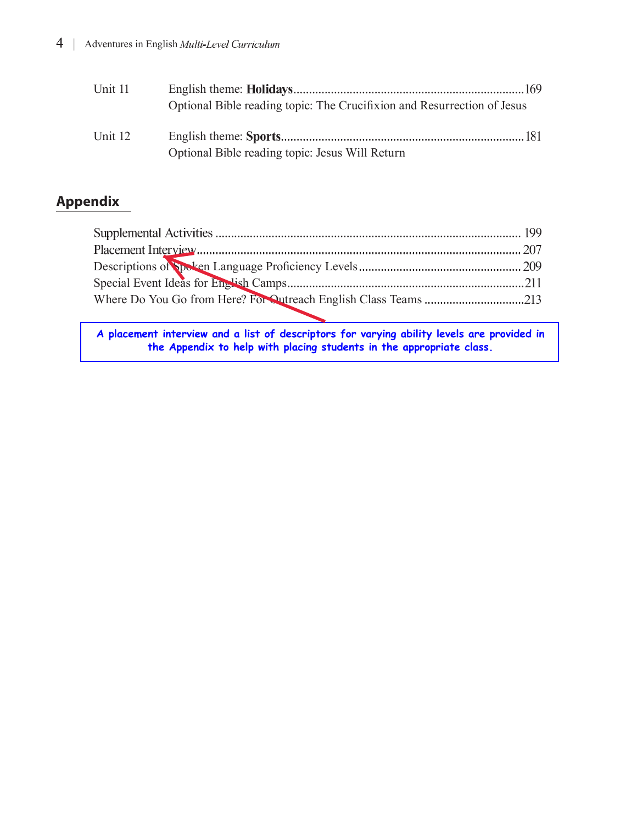| Unit 11 |                                                                         |  |
|---------|-------------------------------------------------------------------------|--|
|         | Optional Bible reading topic: The Crucifixion and Resurrection of Jesus |  |
| Unit 12 |                                                                         |  |
|         | Optional Bible reading topic: Jesus Will Return                         |  |

# **Appendix**

| Where Do You Go from Here? For Outreach English Class Teams 213 |  |
|-----------------------------------------------------------------|--|
|                                                                 |  |

**A placement interview and a list of descriptors for varying ability levels are provided in the Appendix to help with placing students in the appropriate class.**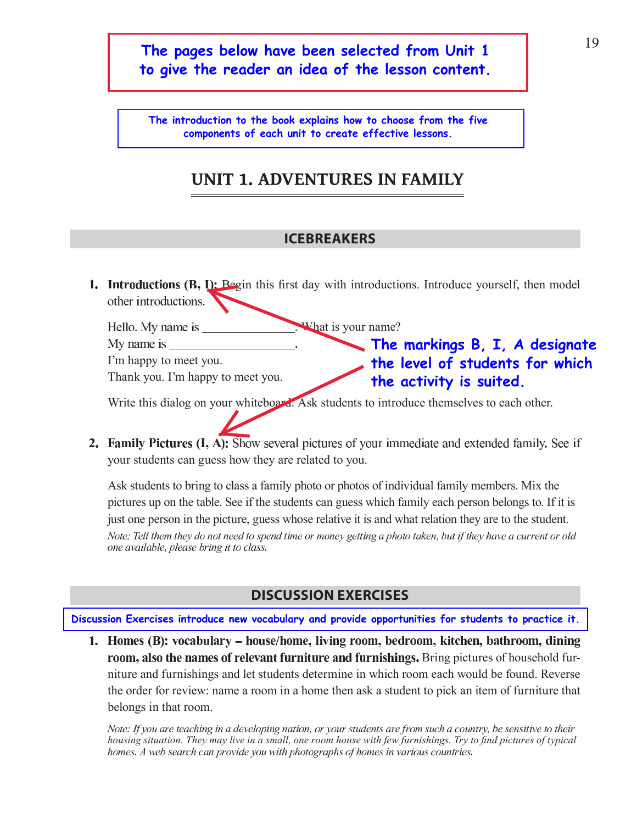## The pages below have been selected from Unit 1 to give the reader an idea of the lesson content.

The introduction to the book explains how to choose from the five components of each unit to create effective lessons.

# **UNIT 1. ADVENTURES IN FAMILY**

#### **ICEBREAKERS**

**1.** Introductions (B, I): Begin this first day with introductions. Introduce yourself, then model other introductions.

What is your name? My name is The markings  $B, I, A$  designate I'm happy to meet you. the level of students for which Thank you. I'm happy to meet you. the activity is suited.

Write this dialog on your whiteboard. Ask students to introduce themselves to each other.

2. Family Pictures (I, A): Show several pictures of your immediate and extended family. See if your students can guess how they are related to you.

Ask students to bring to class a family photo or photos of individual family members. Mix the pictures up on the table. See if the students can guess which family each person belongs to. If it is just one person in the picture, guess whose relative it is and what relation they are to the student. Note: Tell them they do not need to spend time or money getting a photo taken, but if they have a current or old one available, please bring it to class.

#### **DISCUSSION EXERCISES**

Discussion Exercises introduce new vocabulary and provide opportunities for students to practice it.

1. Homes (B): vocabulary – house/home, living room, bedroom, kitchen, bathroom, dining room, also the names of relevant furniture and furnishings. Bring pictures of household furniture and furnishings and let students determine in which room each would be found. Reverse the order for review: name a room in a home then ask a student to pick an item of furniture that belongs in that room.

Note: If you are teaching in a developing nation, or your students are from such a country, be sensitive to their housing situation. They may live in a small, one room house with few furnishings. Try to find pictures of typical homes. A web search can provide you with photographs of homes in various countries.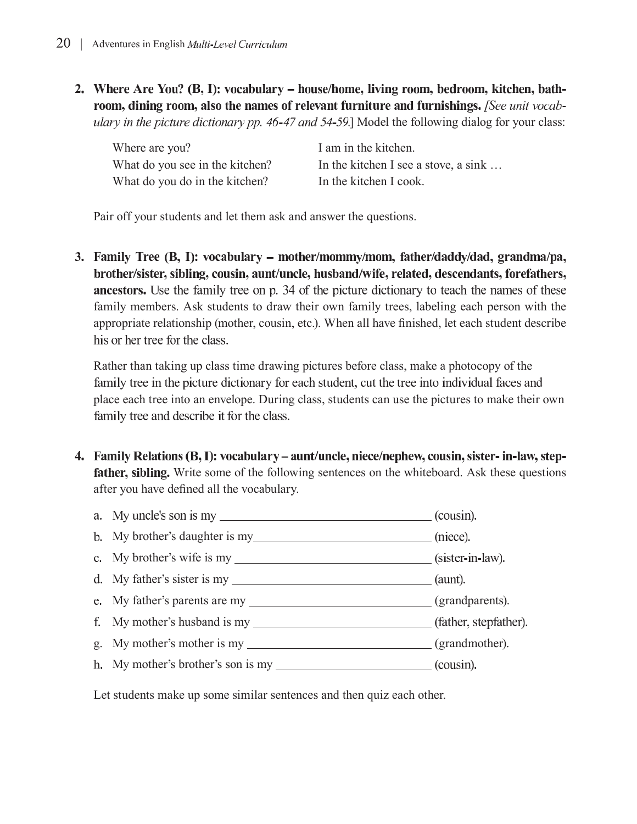2. Where Are You? (B, I): vocabulary – house/home, living room, bedroom, kitchen, bathroom, dining room, also the names of relevant furniture and furnishings. [See unit vocabulary in the picture dictionary pp. 46-47 and 54-59.] Model the following dialog for your class:

| Where are you?                  | I am in the kitchen.                 |
|---------------------------------|--------------------------------------|
| What do you see in the kitchen? | In the kitchen I see a stove, a sink |
| What do you do in the kitchen?  | In the kitchen I cook.               |

Pair off your students and let them ask and answer the questions.

3. Family Tree (B, I): vocabulary – mother/mommy/mom, father/daddy/dad, grandma/pa, brother/sister, sibling, cousin, aunt/uncle, husband/wife, related, descendants, forefathers, ancestors. Use the family tree on p. 34 of the picture dictionary to teach the names of these family members. Ask students to draw their own family trees, labeling each person with the appropriate relationship (mother, cousin, etc.). When all have finished, let each student describe his or her tree for the class.

Rather than taking up class time drawing pictures before class, make a photocopy of the family tree in the picture dictionary for each student, cut the tree into individual faces and place each tree into an envelope. During class, students can use the pictures to make their own family tree and describe it for the class.

4. Family Relations (B, I): vocabulary – aunt/uncle, niece/nephew, cousin, sister-in-law, stepfather, sibling. Write some of the following sentences on the whiteboard. Ask these questions after you have defined all the vocabulary.



Let students make up some similar sentences and then quiz each other.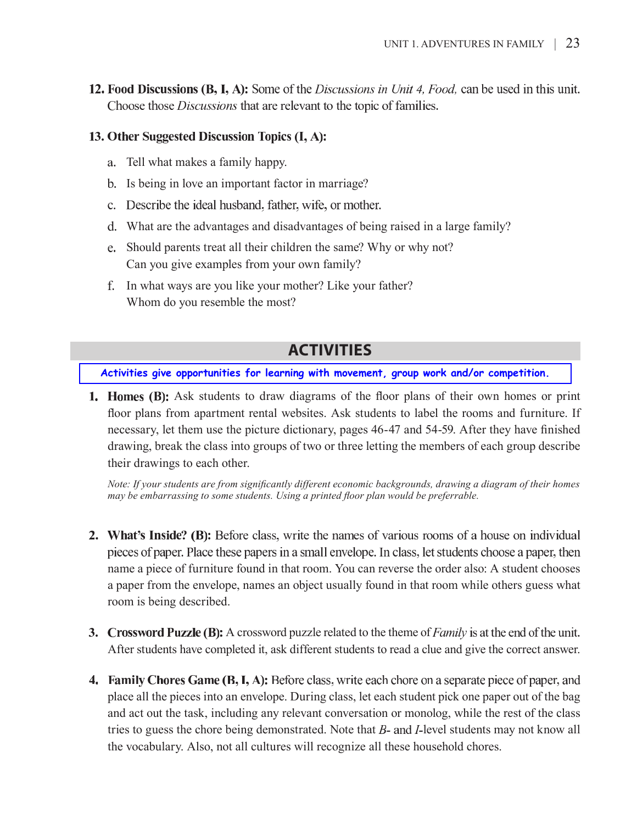12. Food Discussions  $(B, I, A)$ : Some of the *Discussions in Unit 4, Food*, can be used in this unit. Choose those *Discussions* that are relevant to the topic of families.

#### 13. Other Suggested Discussion Topics (I, A):

- a. Tell what makes a family happy.
- b. Is being in love an important factor in marriage?
- c. Describe the ideal husband, father, wife, or mother.
- d. What are the advantages and disadvantages of being raised in a large family?
- e. Should parents treat all their children the same? Why or why not? Can you give examples from your own family?
- f. In what ways are you like your mother? Like your father? Whom do you resemble the most?

## **ACTIVITIES**

Activities give opportunities for learning with movement, group work and/or competition.

**1. Homes (B):** Ask students to draw diagrams of the floor plans of their own homes or print floor plans from apartment rental websites. Ask students to label the rooms and furniture. If necessary, let them use the picture dictionary, pages 46-47 and 54-59. After they have finished drawing, break the class into groups of two or three letting the members of each group describe their drawings to each other.

Note: If your students are from significantly different economic backgrounds, drawing a diagram of their homes may be embarrassing to some students. Using a printed floor plan would be preferrable.

- **2. What's Inside? (B):** Before class, write the names of various rooms of a house on individual pieces of paper. Place these papers in a small envelope. In class, let students choose a paper, then name a piece of furniture found in that room. You can reverse the order also: A student chooses a paper from the envelope, names an object usually found in that room while others guess what room is being described.
- 3. Crossword Puzzle (B): A crossword puzzle related to the theme of *Family* is at the end of the unit. After students have completed it, ask different students to read a clue and give the correct answer.
- 4. Family Chores Game (B, I, A): Before class, write each chore on a separate piece of paper, and place all the pieces into an envelope. During class, let each student pick one paper out of the bag and act out the task, including any relevant conversation or monolog, while the rest of the class tries to guess the chore being demonstrated. Note that B- and I-level students may not know all the vocabulary. Also, not all cultures will recognize all these household chores.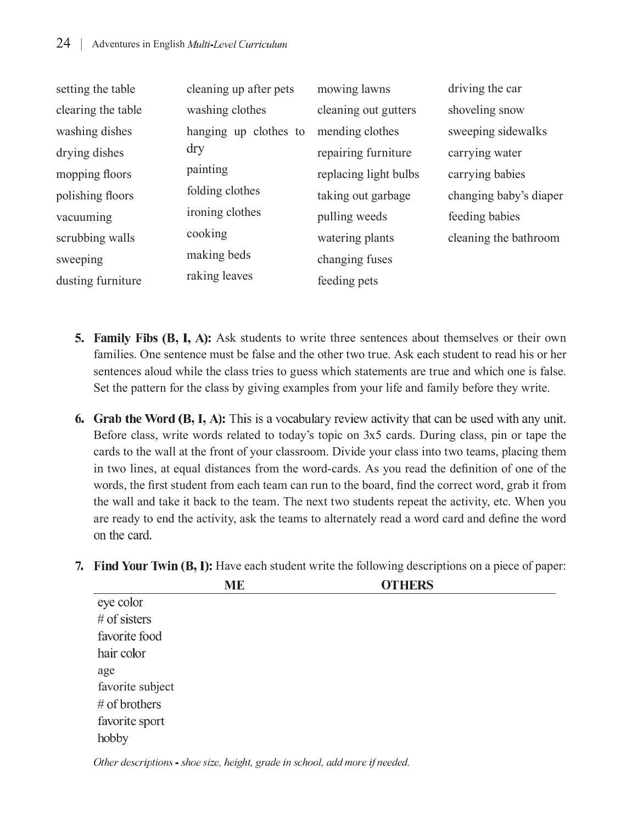| setting the table  | cleaning up after pets | mowing lawns          | driving the car        |
|--------------------|------------------------|-----------------------|------------------------|
| clearing the table | washing clothes        | cleaning out gutters  | shoveling snow         |
| washing dishes     | hanging up clothes to  | mending clothes       | sweeping sidewalks     |
| drying dishes      | dry                    | repairing furniture   | carrying water         |
| mopping floors     | painting               | replacing light bulbs | carrying babies        |
| polishing floors   | folding clothes        | taking out garbage    | changing baby's diaper |
| vacuuming          | ironing clothes        | pulling weeds         | feeding babies         |
| scrubbing walls    | cooking                | watering plants       | cleaning the bathroom  |
| sweeping           | making beds            | changing fuses        |                        |
| dusting furniture  | raking leaves          | feeding pets          |                        |

- 5. Family Fibs (B, I, A): Ask students to write three sentences about themselves or their own families. One sentence must be false and the other two true. Ask each student to read his or her sentences aloud while the class tries to guess which statements are true and which one is false. Set the pattern for the class by giving examples from your life and family before they write.
- **6.** Grab the Word (B, I, A): This is a vocabulary review activity that can be used with any unit. Before class, write words related to today's topic on 3x5 cards. During class, pin or tape the cards to the wall at the front of your classroom. Divide your class into two teams, placing them in two lines, at equal distances from the word-cards. As you read the definition of one of the words, the first student from each team can run to the board, find the correct word, grab it from the wall and take it back to the team. The next two students repeat the activity, etc. When you are ready to end the activity, ask the teams to alternately read a word card and define the word on the card.

|                  | <b>ME</b> | <b>OTHERS</b> |  |
|------------------|-----------|---------------|--|
| eye color        |           |               |  |
| $#$ of sisters   |           |               |  |
| favorite food    |           |               |  |
| hair color       |           |               |  |
| age              |           |               |  |
| favorite subject |           |               |  |
| # of brothers    |           |               |  |
| favorite sport   |           |               |  |
| hobby            |           |               |  |

7. Find Your Twin (B, I): Have each student write the following descriptions on a piece of paper:

Other descriptions - shoe size, height, grade in school, add more if needed.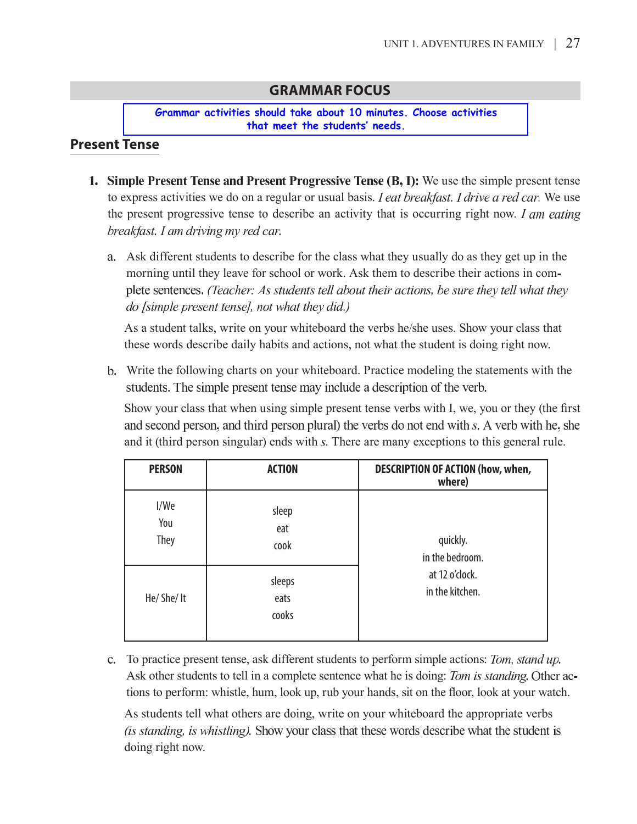T

#### **GRAMMAR FOCUS**

**Grammar activities should take about 10 minutes. Choose activities that meet the students' needs.** 

### **Present Tense**

- 1. Simple Present Tense and Present Progressive Tense  $(B, I)$ : We use the simple present tense to express activities we do on a regular or usual basis. *I eat breakfast*. *I drive a red car*. We use the present progressive tense to describe an activity that is occurring right now. I am eating breakfast. I am driving my red car.
	- a. Ask different students to describe for the class what they usually do as they get up in the morning until they leave for school or work. Ask them to describe their actions in complete sentences. (Teacher: As students tell about their actions, be sure they tell what they do [simple present tense], not what they did.)

As a student talks, write on your whiteboard the verbs he/she uses. Show your class that these words describe daily habits and actions, not what the student is doing right now.

b. Write the following charts on your whiteboard. Practice modeling the statements with the students. The simple present tense may include a description of the verb.

Show your class that when using simple present tense verbs with I, we, you or they (the first and second person, and third person plural) the verbs do not end with s. A verb with he, she and it (third person singular) ends with s. There are many exceptions to this general rule.

| <b>PERSON</b>              | <b>ACTION</b>           | <b>DESCRIPTION OF ACTION (how, when,</b><br>where)               |
|----------------------------|-------------------------|------------------------------------------------------------------|
| I/We<br>You<br><b>They</b> | sleep<br>eat<br>cook    | quickly.<br>in the bedroom.<br>at 12 o'clock.<br>in the kitchen. |
| He/She/It                  | sleeps<br>eats<br>cooks |                                                                  |

c. To practice present tense, ask different students to perform simple actions: Tom, stand up. Ask other students to tell in a complete sentence what he is doing: Tom is standing. Other actions to perform: whistle, hum, look up, rub your hands, sit on the floor, look at your watch.

As students tell what others are doing, write on your whiteboard the appropriate verbs (is standing, is whistling). Show your class that these words describe what the student is doing right now.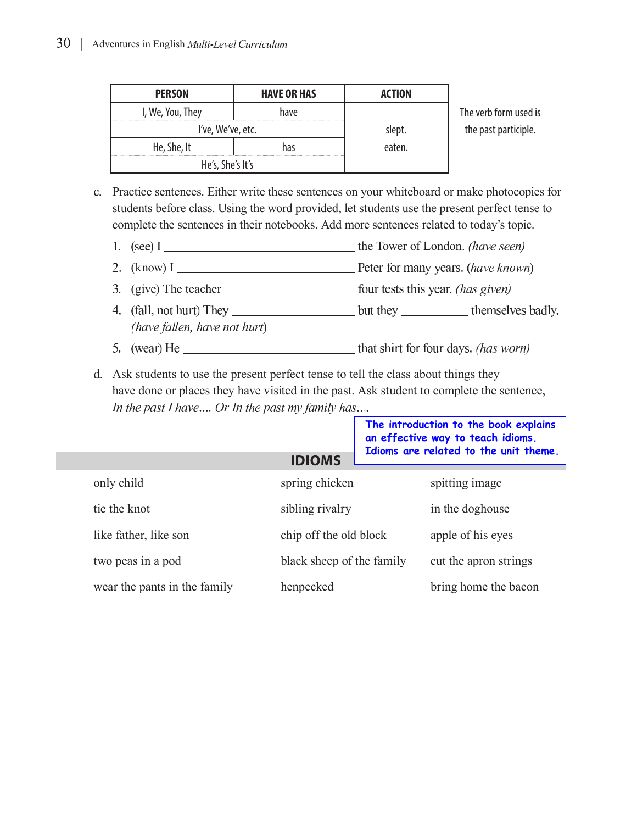| <b>PERSON</b>     | <b>HAVE OR HAS</b> | ACTION |                       |
|-------------------|--------------------|--------|-----------------------|
| I, We, You, They  | have               |        | The verb form used is |
| I've, We've, etc. |                    | slept. | the past participle.  |
| He, She, It       |                    | eaten. |                       |
| He's, She's It's  |                    |        |                       |

c. Practice sentences. Either write these sentences on your whiteboard or make photocopies for students before class. Using the word provided, let students use the present perfect tense to complete the sentences in their notebooks. Add more sentences related to today's topic.

- WKH7RZHURI/RQGRQ
- NQRZ,
- JLYH7KHWHDFKHU
- (have fallen, have not hurt)
- 

d. Ask students to use the present perfect tense to tell the class about things they have done or places they have visited in the past. Ask student to complete the sentence, In the past I have.... Or In the past my family has.... **The introduction to the book explains** 

| Idioms are related to the unit theme. |
|---------------------------------------|
|                                       |
|                                       |
|                                       |
|                                       |
|                                       |
| bring home the bacon                  |
| cut the apron strings                 |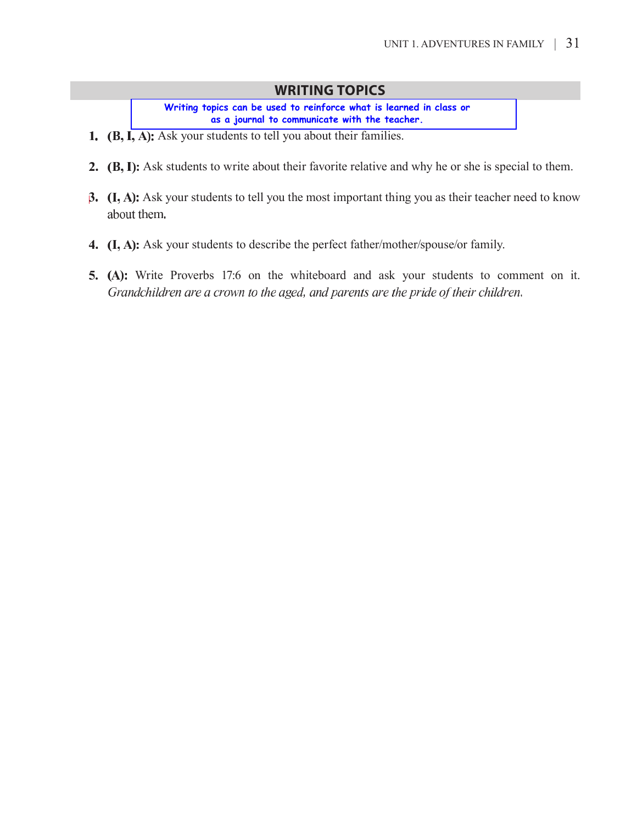#### **WRITING TOPICS**

**Writing topics can be used to reinforce what is learned in class or as a journal to communicate with the teacher.** 

- 1. (B, I, A): Ask your students to tell you about their families.
- 2. (B, I): Ask students to write about their favorite relative and why he or she is special to them.
- **3.**  $(I, A)$ : Ask your students to tell you the most important thing you as their teacher need to know about them.
- 4. (I, A): Ask your students to describe the perfect father/mother/spouse/or family.
- 5. (A): Write Proverbs 17:6 on the whiteboard and ask your students to comment on it. Grandchildren are a crown to the aged, and parents are the pride of their children.